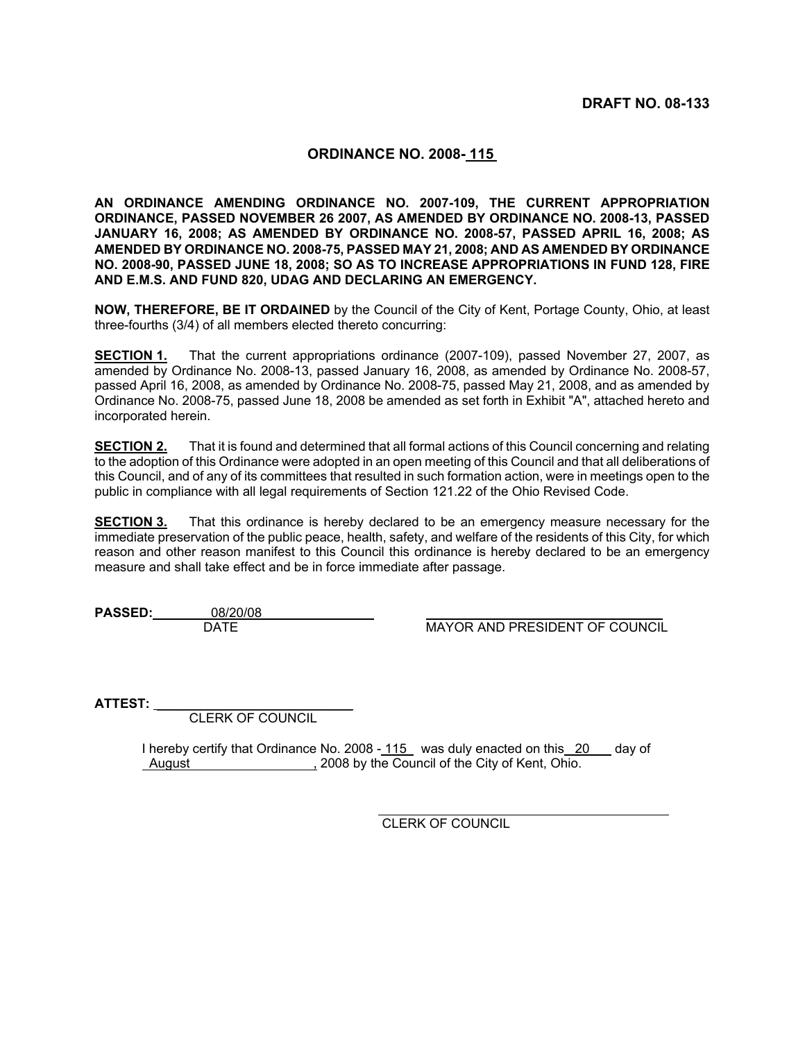## **ORDINANCE NO. 2008- 115**

**AN ORDINANCE AMENDING ORDINANCE NO. 2007-109, THE CURRENT APPROPRIATION ORDINANCE, PASSED NOVEMBER 26 2007, AS AMENDED BY ORDINANCE NO. 2008-13, PASSED JANUARY 16, 2008; AS AMENDED BY ORDINANCE NO. 2008-57, PASSED APRIL 16, 2008; AS AMENDED BY ORDINANCE NO. 2008-75, PASSED MAY 21, 2008; AND AS AMENDED BY ORDINANCE NO. 2008-90, PASSED JUNE 18, 2008; SO AS TO INCREASE APPROPRIATIONS IN FUND 128, FIRE AND E.M.S. AND FUND 820, UDAG AND DECLARING AN EMERGENCY.** 

**NOW, THEREFORE, BE IT ORDAINED** by the Council of the City of Kent, Portage County, Ohio, at least three-fourths (3/4) of all members elected thereto concurring:

**SECTION 1.** That the current appropriations ordinance (2007-109), passed November 27, 2007, as amended by Ordinance No. 2008-13, passed January 16, 2008, as amended by Ordinance No. 2008-57, passed April 16, 2008, as amended by Ordinance No. 2008-75, passed May 21, 2008, and as amended by Ordinance No. 2008-75, passed June 18, 2008 be amended as set forth in Exhibit "A", attached hereto and incorporated herein.

**SECTION 2.** That it is found and determined that all formal actions of this Council concerning and relating to the adoption of this Ordinance were adopted in an open meeting of this Council and that all deliberations of this Council, and of any of its committees that resulted in such formation action, were in meetings open to the public in compliance with all legal requirements of Section 121.22 of the Ohio Revised Code.

**SECTION 3.** That this ordinance is hereby declared to be an emergency measure necessary for the immediate preservation of the public peace, health, safety, and welfare of the residents of this City, for which reason and other reason manifest to this Council this ordinance is hereby declared to be an emergency measure and shall take effect and be in force immediate after passage.

**PASSED:** 08/20/08<br>DATE

**MAYOR AND PRESIDENT OF COUNCIL** 

**ATTEST:** \_\_\_\_\_\_\_\_\_\_\_\_\_\_\_\_\_\_\_\_\_\_\_\_\_\_\_

CLERK OF COUNCIL

I hereby certify that Ordinance No. 2008 - 115 was duly enacted on this 20 day of August , 2008 by the Council of the City of Kent, Ohio.

CLERK OF COUNCIL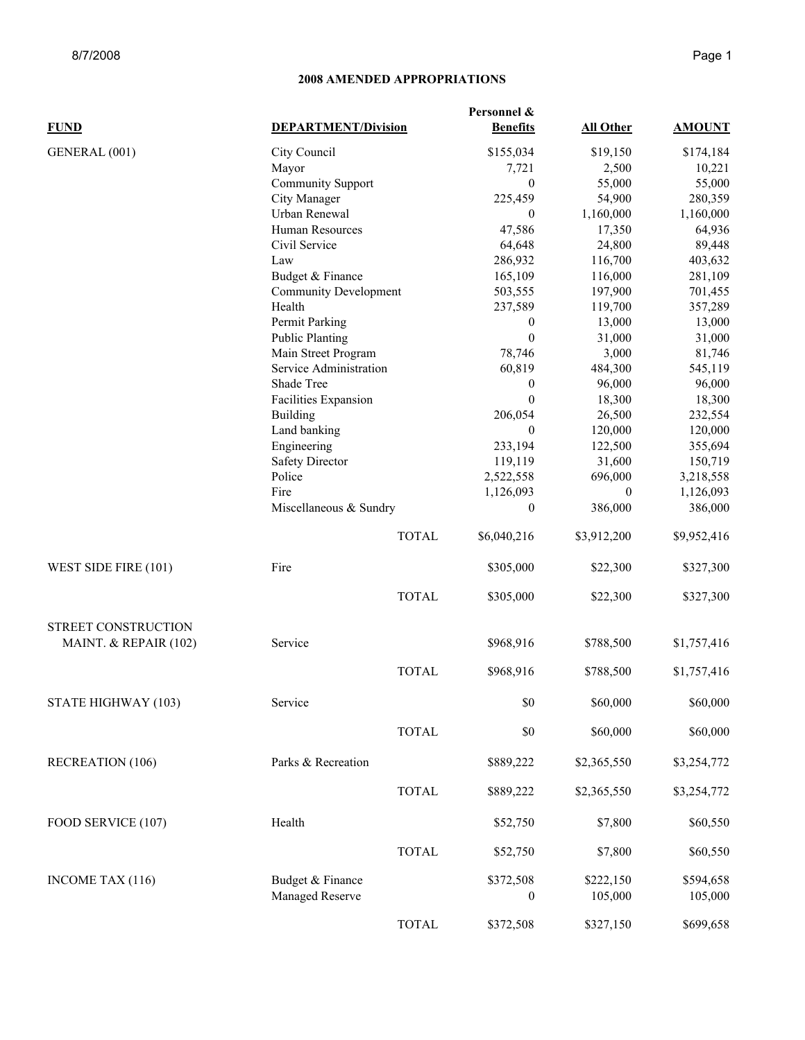|                                              | Personnel &                  |                  |                  |               |  |
|----------------------------------------------|------------------------------|------------------|------------------|---------------|--|
| <b>FUND</b>                                  | <b>DEPARTMENT/Division</b>   | <b>Benefits</b>  | <b>All Other</b> | <b>AMOUNT</b> |  |
| GENERAL (001)                                | City Council                 | \$155,034        | \$19,150         | \$174,184     |  |
|                                              | Mayor                        | 7,721            | 2,500            | 10,221        |  |
|                                              | <b>Community Support</b>     | $\mathbf{0}$     | 55,000           | 55,000        |  |
|                                              | City Manager                 | 225,459          | 54,900           | 280,359       |  |
|                                              | Urban Renewal                | $\mathbf{0}$     | 1,160,000        | 1,160,000     |  |
|                                              | Human Resources              | 47,586           | 17,350           | 64,936        |  |
|                                              | Civil Service                | 64,648           | 24,800           | 89,448        |  |
|                                              | Law                          | 286,932          | 116,700          | 403,632       |  |
|                                              | Budget & Finance             | 165,109          | 116,000          | 281,109       |  |
|                                              | <b>Community Development</b> | 503,555          | 197,900          | 701,455       |  |
|                                              | Health                       | 237,589          | 119,700          | 357,289       |  |
|                                              | Permit Parking               | $\boldsymbol{0}$ | 13,000           | 13,000        |  |
|                                              | <b>Public Planting</b>       | $\mathbf{0}$     | 31,000           | 31,000        |  |
|                                              | Main Street Program          | 78,746           | 3,000            | 81,746        |  |
|                                              | Service Administration       | 60,819           | 484,300          | 545,119       |  |
|                                              | Shade Tree                   | $\boldsymbol{0}$ | 96,000           | 96,000        |  |
|                                              | Facilities Expansion         | $\mathbf{0}$     | 18,300           | 18,300        |  |
|                                              | <b>Building</b>              | 206,054          | 26,500           | 232,554       |  |
|                                              | Land banking                 | $\mathbf{0}$     | 120,000          | 120,000       |  |
|                                              | Engineering                  | 233,194          | 122,500          | 355,694       |  |
|                                              | <b>Safety Director</b>       | 119,119          | 31,600           | 150,719       |  |
|                                              | Police                       | 2,522,558        | 696,000          | 3,218,558     |  |
|                                              | Fire                         | 1,126,093        | $\overline{0}$   | 1,126,093     |  |
|                                              | Miscellaneous & Sundry       | $\mathbf{0}$     | 386,000          | 386,000       |  |
|                                              | <b>TOTAL</b>                 | \$6,040,216      | \$3,912,200      | \$9,952,416   |  |
| WEST SIDE FIRE (101)                         | Fire                         | \$305,000        | \$22,300         | \$327,300     |  |
|                                              | <b>TOTAL</b>                 | \$305,000        | \$22,300         | \$327,300     |  |
| STREET CONSTRUCTION<br>MAINT. & REPAIR (102) | Service                      | \$968,916        | \$788,500        | \$1,757,416   |  |
|                                              | <b>TOTAL</b>                 | \$968,916        | \$788,500        | \$1,757,416   |  |
| STATE HIGHWAY (103)                          | Service                      | \$0              | \$60,000         | \$60,000      |  |
|                                              | <b>TOTAL</b>                 | \$0              | \$60,000         | \$60,000      |  |
| <b>RECREATION (106)</b>                      | Parks & Recreation           | \$889,222        | \$2,365,550      | \$3,254,772   |  |
|                                              | <b>TOTAL</b>                 | \$889,222        | \$2,365,550      | \$3,254,772   |  |
| FOOD SERVICE (107)                           | Health                       | \$52,750         | \$7,800          | \$60,550      |  |
|                                              | <b>TOTAL</b>                 | \$52,750         | \$7,800          | \$60,550      |  |
| INCOME TAX (116)                             | Budget & Finance             | \$372,508        | \$222,150        | \$594,658     |  |
|                                              | Managed Reserve              | $\mathbf{0}$     | 105,000          | 105,000       |  |
|                                              | <b>TOTAL</b>                 | \$372,508        | \$327,150        | \$699,658     |  |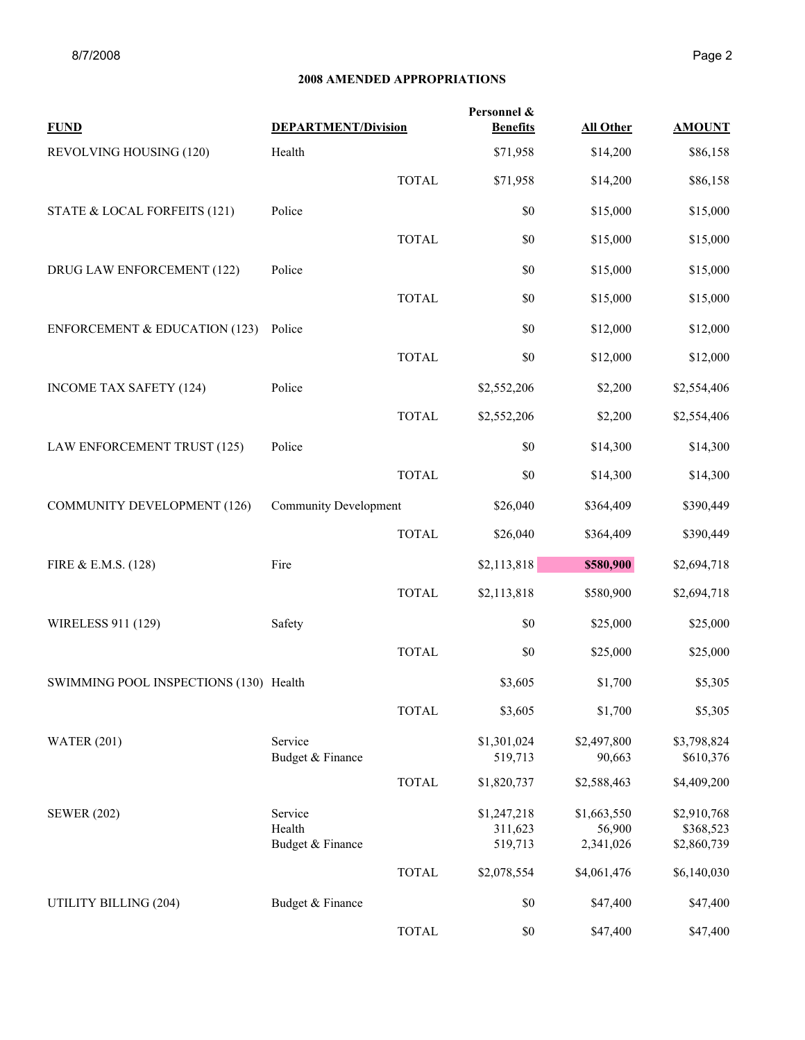| <b>FUND</b>                              | <b>DEPARTMENT/Division</b>            |              | Personnel &<br><b>Benefits</b>    | <b>All Other</b>                   | <b>AMOUNT</b>                           |
|------------------------------------------|---------------------------------------|--------------|-----------------------------------|------------------------------------|-----------------------------------------|
| REVOLVING HOUSING (120)                  | Health                                |              | \$71,958                          | \$14,200                           | \$86,158                                |
|                                          |                                       | <b>TOTAL</b> | \$71,958                          | \$14,200                           | \$86,158                                |
| STATE & LOCAL FORFEITS (121)             | Police                                |              | \$0                               | \$15,000                           | \$15,000                                |
|                                          |                                       | <b>TOTAL</b> | \$0                               | \$15,000                           | \$15,000                                |
| DRUG LAW ENFORCEMENT (122)               | Police                                |              | \$0                               | \$15,000                           | \$15,000                                |
|                                          |                                       | <b>TOTAL</b> | \$0                               | \$15,000                           | \$15,000                                |
| <b>ENFORCEMENT &amp; EDUCATION (123)</b> | Police                                |              | \$0                               | \$12,000                           | \$12,000                                |
|                                          |                                       | <b>TOTAL</b> | \$0                               | \$12,000                           | \$12,000                                |
| <b>INCOME TAX SAFETY (124)</b>           | Police                                |              | \$2,552,206                       | \$2,200                            | \$2,554,406                             |
|                                          |                                       | <b>TOTAL</b> | \$2,552,206                       | \$2,200                            | \$2,554,406                             |
| LAW ENFORCEMENT TRUST (125)              | Police                                |              | \$0                               | \$14,300                           | \$14,300                                |
|                                          |                                       | <b>TOTAL</b> | \$0                               | \$14,300                           | \$14,300                                |
| <b>COMMUNITY DEVELOPMENT (126)</b>       | <b>Community Development</b>          |              | \$26,040                          | \$364,409                          | \$390,449                               |
|                                          |                                       | <b>TOTAL</b> | \$26,040                          | \$364,409                          | \$390,449                               |
| FIRE & E.M.S. (128)                      | Fire                                  |              | \$2,113,818                       | \$580,900                          | \$2,694,718                             |
|                                          |                                       | <b>TOTAL</b> | \$2,113,818                       | \$580,900                          | \$2,694,718                             |
| WIRELESS 911 (129)                       | Safety                                |              | \$0                               | \$25,000                           | \$25,000                                |
|                                          |                                       | <b>TOTAL</b> | \$0                               | \$25,000                           | \$25,000                                |
| SWIMMING POOL INSPECTIONS (130) Health   |                                       |              | \$3,605                           | \$1,700                            | \$5,305                                 |
|                                          |                                       | <b>TOTAL</b> | \$3,605                           | \$1,700                            | \$5,305                                 |
| <b>WATER (201)</b>                       | Service<br>Budget & Finance           |              | \$1,301,024<br>519,713            | \$2,497,800<br>90,663              | \$3,798,824<br>\$610,376                |
|                                          |                                       | <b>TOTAL</b> | \$1,820,737                       | \$2,588,463                        | \$4,409,200                             |
| <b>SEWER (202)</b>                       | Service<br>Health<br>Budget & Finance |              | \$1,247,218<br>311,623<br>519,713 | \$1,663,550<br>56,900<br>2,341,026 | \$2,910,768<br>\$368,523<br>\$2,860,739 |
|                                          |                                       | <b>TOTAL</b> | \$2,078,554                       | \$4,061,476                        | \$6,140,030                             |
| UTILITY BILLING (204)                    | Budget & Finance                      |              | \$0                               | \$47,400                           | \$47,400                                |
|                                          |                                       | <b>TOTAL</b> | $\$0$                             | \$47,400                           | \$47,400                                |
|                                          |                                       |              |                                   |                                    |                                         |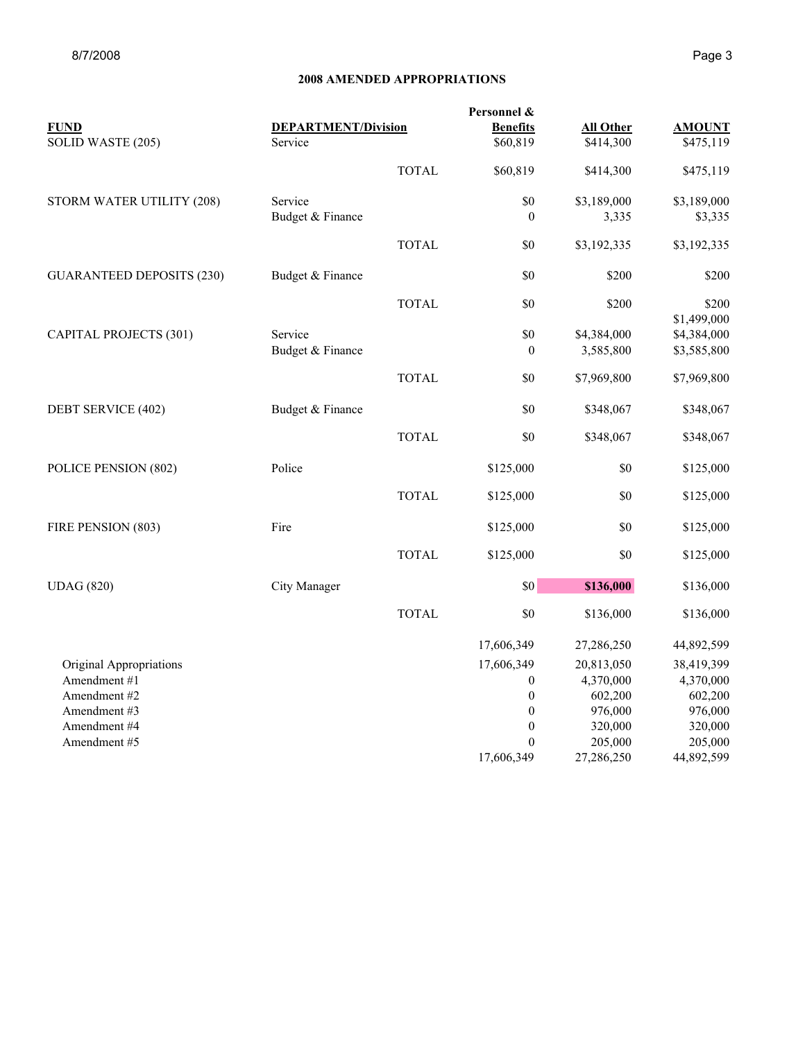| <b>FUND</b>                      | <b>DEPARTMENT/Division</b> |              | Personnel &<br><b>Benefits</b> | <b>All Other</b> | <b>AMOUNT</b>              |
|----------------------------------|----------------------------|--------------|--------------------------------|------------------|----------------------------|
| SOLID WASTE (205)                | Service                    |              | \$60,819                       | \$414,300        | \$475,119                  |
|                                  |                            | <b>TOTAL</b> | \$60,819                       | \$414,300        | \$475,119                  |
| STORM WATER UTILITY (208)        | Service                    |              | \$0                            | \$3,189,000      | \$3,189,000                |
|                                  | Budget & Finance           |              | $\mathbf{0}$                   | 3,335            | \$3,335                    |
|                                  |                            | <b>TOTAL</b> | \$0                            | \$3,192,335      | \$3,192,335                |
| <b>GUARANTEED DEPOSITS (230)</b> | Budget & Finance           |              | \$0                            | \$200            | \$200                      |
|                                  |                            | <b>TOTAL</b> | \$0                            | \$200            | \$200                      |
| <b>CAPITAL PROJECTS (301)</b>    | Service                    |              | \$0                            | \$4,384,000      | \$1,499,000<br>\$4,384,000 |
|                                  | Budget & Finance           |              | $\mathbf{0}$                   | 3,585,800        | \$3,585,800                |
|                                  |                            | <b>TOTAL</b> | \$0                            | \$7,969,800      | \$7,969,800                |
| DEBT SERVICE (402)               | Budget & Finance           |              | \$0                            | \$348,067        | \$348,067                  |
|                                  |                            | <b>TOTAL</b> | \$0                            | \$348,067        | \$348,067                  |
| POLICE PENSION (802)             | Police                     |              | \$125,000                      | \$0              | \$125,000                  |
|                                  |                            | <b>TOTAL</b> | \$125,000                      | \$0              | \$125,000                  |
| FIRE PENSION (803)               | Fire                       |              | \$125,000                      | \$0              | \$125,000                  |
|                                  |                            | <b>TOTAL</b> | \$125,000                      | \$0              | \$125,000                  |
| <b>UDAG</b> (820)                | City Manager               |              | \$0                            | \$136,000        | \$136,000                  |
|                                  |                            | <b>TOTAL</b> | \$0                            | \$136,000        | \$136,000                  |
|                                  |                            |              | 17,606,349                     | 27,286,250       | 44,892,599                 |
| Original Appropriations          |                            |              | 17,606,349                     | 20,813,050       | 38,419,399                 |
| Amendment #1                     |                            |              | $\boldsymbol{0}$               | 4,370,000        | 4,370,000                  |
| Amendment #2                     |                            |              | $\boldsymbol{0}$               | 602,200          | 602,200                    |
| Amendment #3                     |                            |              | $\boldsymbol{0}$               | 976,000          | 976,000                    |
| Amendment #4                     |                            |              | $\mathbf{0}$                   | 320,000          | 320,000                    |
| Amendment #5                     |                            |              | $\mathbf{0}$                   | 205,000          | 205,000                    |
|                                  |                            |              | 17,606,349                     | 27,286,250       | 44,892,599                 |